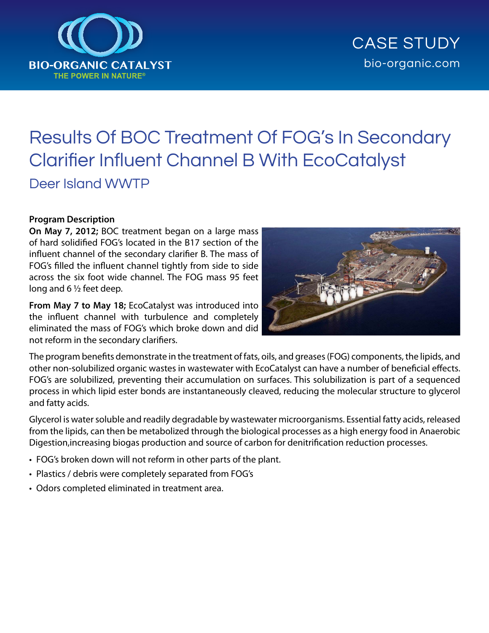

# Results Of BOC Treatment Of FOG's In Secondary Clarifier Influent Channel B With EcoCatalyst Deer Island WWTP

### **Program Description**

**On May 7, 2012;** BOC treatment began on a large mass of hard solidified FOG's located in the B17 section of the influent channel of the secondary clarifier B. The mass of FOG's filled the influent channel tightly from side to side across the six foot wide channel. The FOG mass 95 feet long and 6 ½ feet deep.

**From May 7 to May 18;** EcoCatalyst was introduced into the influent channel with turbulence and completely eliminated the mass of FOG's which broke down and did not reform in the secondary clarifiers.



The program benefits demonstrate in the treatment of fats, oils, and greases (FOG) components, the lipids, and other non-solubilized organic wastes in wastewater with EcoCatalyst can have a number of beneficial effects. FOG's are solubilized, preventing their accumulation on surfaces. This solubilization is part of a sequenced process in which lipid ester bonds are instantaneously cleaved, reducing the molecular structure to glycerol and fatty acids.

Glycerol is water soluble and readily degradable by wastewater microorganisms. Essential fatty acids, released from the lipids, can then be metabolized through the biological processes as a high energy food in Anaerobic Digestion,increasing biogas production and source of carbon for denitrification reduction processes.

- FOG's broken down will not reform in other parts of the plant.
- Plastics / debris were completely separated from FOG's
- Odors completed eliminated in treatment area.